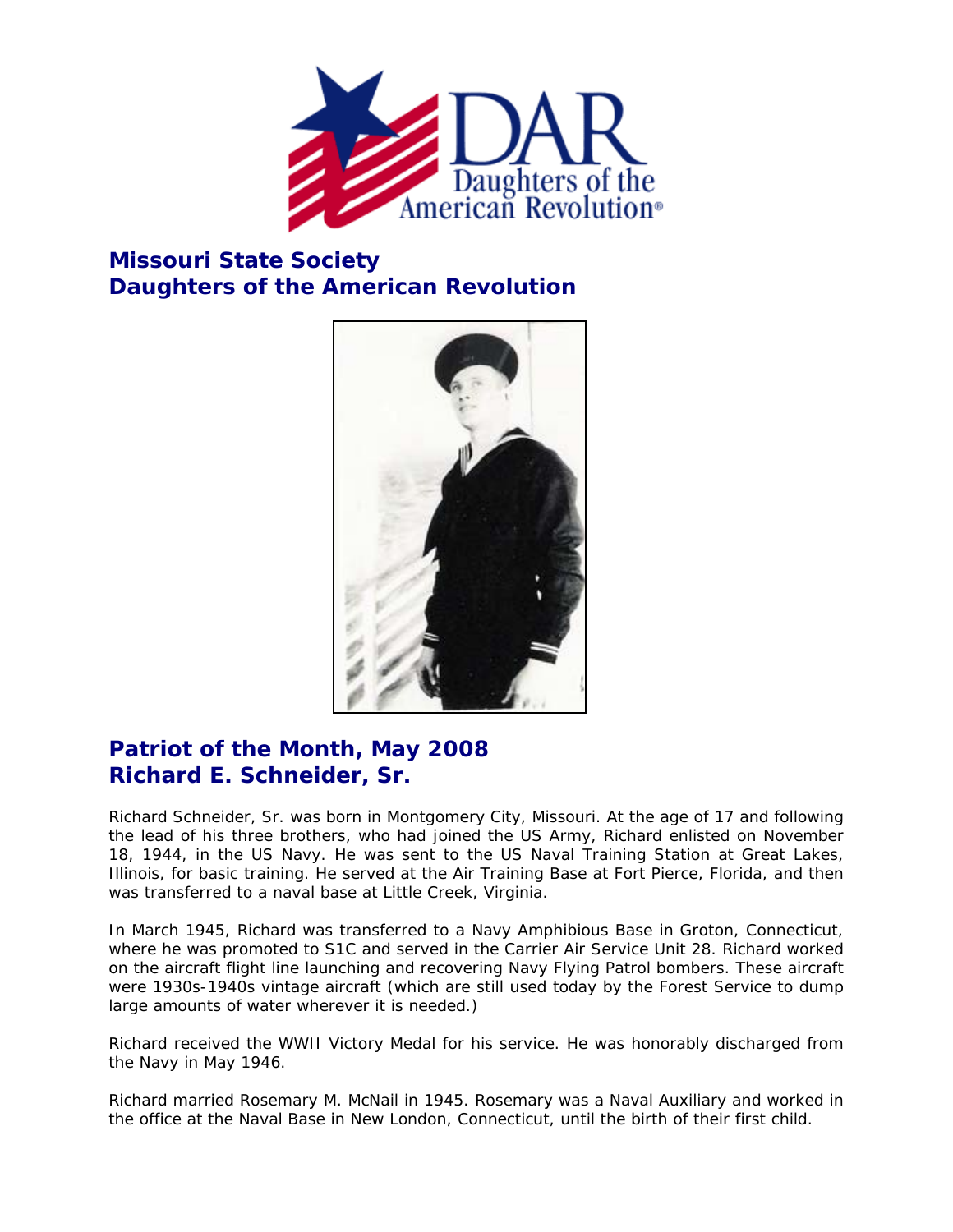

## **Missouri State Society Daughters of the American Revolution**



## **Patriot of the Month, May 2008 Richard E. Schneider, Sr.**

Richard Schneider, Sr. was born in Montgomery City, Missouri. At the age of 17 and following the lead of his three brothers, who had joined the US Army, Richard enlisted on November 18, 1944, in the US Navy. He was sent to the US Naval Training Station at Great Lakes, Illinois, for basic training. He served at the Air Training Base at Fort Pierce, Florida, and then was transferred to a naval base at Little Creek, Virginia.

In March 1945, Richard was transferred to a Navy Amphibious Base in Groton, Connecticut, where he was promoted to S1C and served in the Carrier Air Service Unit 28. Richard worked on the aircraft flight line launching and recovering Navy Flying Patrol bombers. These aircraft were 1930s-1940s vintage aircraft (which are still used today by the Forest Service to dump large amounts of water wherever it is needed.)

Richard received the WWII Victory Medal for his service. He was honorably discharged from the Navy in May 1946.

Richard married Rosemary M. McNail in 1945. Rosemary was a Naval Auxiliary and worked in the office at the Naval Base in New London, Connecticut, until the birth of their first child.